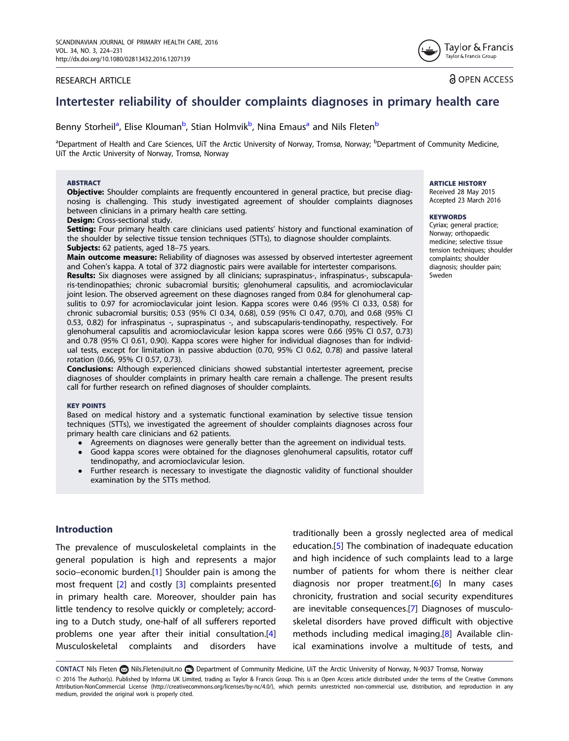### <span id="page-0-0"></span>RESEARCH ARTICLE

Tavlor & Francis Taylor & Francis Group

**a** OPEN ACCESS

# Intertester reliability of shoulder complaints diagnoses in primary health care

Benny Storheil<sup>a</sup>, Elise Klouman<sup>b</sup>, Stian Holmvik<sup>b</sup>, Nina Emaus<sup>a</sup> and Nils Fleten<sup>b</sup>

<sup>a</sup>Department of Health and Care Sciences, UiT the Arctic University of Norway, Tromsø, Norway; <sup>b</sup>Department of Community Medicine, UiT the Arctic University of Norway, Tromsø, Norway

#### **ARSTRACT**

**Objective:** Shoulder complaints are frequently encountered in general practice, but precise diagnosing is challenging. This study investigated agreement of shoulder complaints diagnoses between clinicians in a primary health care setting.

Design: Cross-sectional study.

Setting: Four primary health care clinicians used patients' history and functional examination of the shoulder by selective tissue tension techniques (STTs), to diagnose shoulder complaints. Subjects: 62 patients, aged 18-75 years.

Main outcome measure: Reliability of diagnoses was assessed by observed intertester agreement and Cohen's kappa. A total of 372 diagnostic pairs were available for intertester comparisons.

Results: Six diagnoses were assigned by all clinicians; supraspinatus-, infraspinatus-, subscapularis-tendinopathies; chronic subacromial bursitis; glenohumeral capsulitis, and acromioclavicular joint lesion. The observed agreement on these diagnoses ranged from 0.84 for glenohumeral capsulitis to 0.97 for acromioclavicular joint lesion. Kappa scores were 0.46 (95% CI 0.33, 0.58) for chronic subacromial bursitis; 0.53 (95% CI 0.34, 0.68), 0.59 (95% CI 0.47, 0.70), and 0.68 (95% CI 0.53, 0.82) for infraspinatus -, supraspinatus -, and subscapularis-tendinopathy, respectively. For glenohumeral capsulitis and acromioclavicular lesion kappa scores were 0.66 (95% CI 0.57, 0.73) and 0.78 (95% CI 0.61, 0.90). Kappa scores were higher for individual diagnoses than for individual tests, except for limitation in passive abduction (0.70, 95% CI 0.62, 0.78) and passive lateral rotation (0.66, 95% CI 0.57, 0.73).

Conclusions: Although experienced clinicians showed substantial intertester agreement, precise diagnoses of shoulder complaints in primary health care remain a challenge. The present results call for further research on refined diagnoses of shoulder complaints.

#### KEY POINTS

Based on medical history and a systematic functional examination by selective tissue tension techniques (STTs), we investigated the agreement of shoulder complaints diagnoses across four primary health care clinicians and 62 patients.

- Agreements on diagnoses were generally better than the agreement on individual tests.
- Good kappa scores were obtained for the diagnoses glenohumeral capsulitis, rotator cuff tendinopathy, and acromioclavicular lesion.
- Further research is necessary to investigate the diagnostic validity of functional shoulder examination by the STTs method.

### Introduction

The prevalence of musculoskeletal complaints in the general population is high and represents a major socio–economic burden.[[1\]](#page-6-0) Shoulder pain is among the most frequent [[2](#page-6-0)] and costly [\[3](#page-6-0)] complaints presented in primary health care. Moreover, shoulder pain has little tendency to resolve quickly or completely; according to a Dutch study, one-half of all sufferers reported problems one year after their initial consultation.[[4\]](#page-6-0) Musculoskeletal complaints and disorders have

traditionally been a grossly neglected area of medical education.[\[5](#page-6-0)] The combination of inadequate education and high incidence of such complaints lead to a large number of patients for whom there is neither clear diagnosis nor proper treatment.[[6](#page-6-0)] In many cases chronicity, frustration and social security expenditures are inevitable consequences.[[7\]](#page-6-0) Diagnoses of musculoskeletal disorders have proved difficult with objective methods including medical imaging.[\[8](#page-6-0)] Available clinical examinations involve a multitude of tests, and

CONTACT Nils Fleten a Nils.Fleten@uit.no **Department of Community Medicine**, UiT the Arctic University of Norway, N-9037 Tromsø, Norway  $\copyright$  2016 The Author(s). Published by Informa UK Limited, trading as Taylor & Francis Group. This is an Open Access article distributed under the terms of the Creative Commons Attribution-NonCommercial License (<http://creativecommons.org/licenses/by-nc/4.0/>), which permits unrestricted non-commercial use, distribution, and reproduction in any medium, provided the original work is properly cited.

#### ARTICLE HISTORY

Received 28 May 2015 Accepted 23 March 2016

#### **KEYWORDS**

Cyriax; general practice; Norway; orthopaedic medicine; selective tissue tension techniques; shoulder complaints; shoulder diagnosis; shoulder pain; Sweden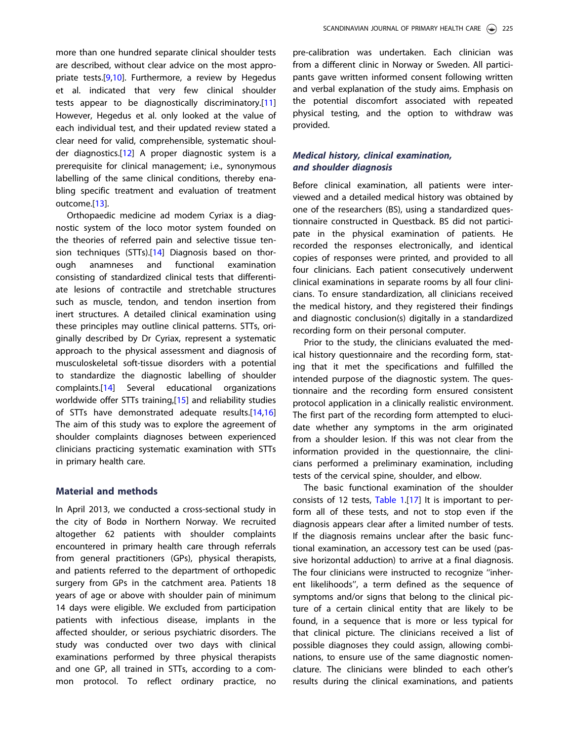<span id="page-1-0"></span>more than one hundred separate clinical shoulder tests are described, without clear advice on the most appropriate tests.[\[9](#page-6-0)[,10\]](#page-7-0). Furthermore, a review by Hegedus et al. indicated that very few clinical shoulder tests appear to be diagnostically discriminatory.[[11\]](#page-7-0) However, Hegedus et al. only looked at the value of each individual test, and their updated review stated a clear need for valid, comprehensible, systematic shoulder diagnostics.[\[12](#page-7-0)] A proper diagnostic system is a prerequisite for clinical management; i.e., synonymous labelling of the same clinical conditions, thereby enabling specific treatment and evaluation of treatment outcome.[[13\]](#page-7-0).

Orthopaedic medicine ad modem Cyriax is a diagnostic system of the loco motor system founded on the theories of referred pain and selective tissue ten-sion techniques (STTs).[\[14\]](#page-7-0) Diagnosis based on thorough anamneses and functional examination consisting of standardized clinical tests that differentiate lesions of contractile and stretchable structures such as muscle, tendon, and tendon insertion from inert structures. A detailed clinical examination using these principles may outline clinical patterns. STTs, originally described by Dr Cyriax, represent a systematic approach to the physical assessment and diagnosis of musculoskeletal soft-tissue disorders with a potential to standardize the diagnostic labelling of shoulder complaints.[\[14\]](#page-7-0) Several educational organizations worldwide offer STTs training,[\[15](#page-7-0)] and reliability studies of STTs have demonstrated adequate results.[[14,16\]](#page-7-0) The aim of this study was to explore the agreement of shoulder complaints diagnoses between experienced clinicians practicing systematic examination with STTs in primary health care.

#### Material and methods

In April 2013, we conducted a cross-sectional study in the city of Bodø in Northern Norway. We recruited altogether 62 patients with shoulder complaints encountered in primary health care through referrals from general practitioners (GPs), physical therapists, and patients referred to the department of orthopedic surgery from GPs in the catchment area. Patients 18 years of age or above with shoulder pain of minimum 14 days were eligible. We excluded from participation patients with infectious disease, implants in the affected shoulder, or serious psychiatric disorders. The study was conducted over two days with clinical examinations performed by three physical therapists and one GP, all trained in STTs, according to a common protocol. To reflect ordinary practice, no pre-calibration was undertaken. Each clinician was from a different clinic in Norway or Sweden. All participants gave written informed consent following written and verbal explanation of the study aims. Emphasis on the potential discomfort associated with repeated physical testing, and the option to withdraw was provided.

### Medical history, clinical examination, and shoulder diagnosis

Before clinical examination, all patients were interviewed and a detailed medical history was obtained by one of the researchers (BS), using a standardized questionnaire constructed in Questback. BS did not participate in the physical examination of patients. He recorded the responses electronically, and identical copies of responses were printed, and provided to all four clinicians. Each patient consecutively underwent clinical examinations in separate rooms by all four clinicians. To ensure standardization, all clinicians received the medical history, and they registered their findings and diagnostic conclusion(s) digitally in a standardized recording form on their personal computer.

Prior to the study, the clinicians evaluated the medical history questionnaire and the recording form, stating that it met the specifications and fulfilled the intended purpose of the diagnostic system. The questionnaire and the recording form ensured consistent protocol application in a clinically realistic environment. The first part of the recording form attempted to elucidate whether any symptoms in the arm originated from a shoulder lesion. If this was not clear from the information provided in the questionnaire, the clinicians performed a preliminary examination, including tests of the cervical spine, shoulder, and elbow.

The basic functional examination of the shoulder consists of 12 tests, [Table 1](#page-2-0).[\[17](#page-7-0)] It is important to perform all of these tests, and not to stop even if the diagnosis appears clear after a limited number of tests. If the diagnosis remains unclear after the basic functional examination, an accessory test can be used (passive horizontal adduction) to arrive at a final diagnosis. The four clinicians were instructed to recognize ''inherent likelihoods'', a term defined as the sequence of symptoms and/or signs that belong to the clinical picture of a certain clinical entity that are likely to be found, in a sequence that is more or less typical for that clinical picture. The clinicians received a list of possible diagnoses they could assign, allowing combinations, to ensure use of the same diagnostic nomenclature. The clinicians were blinded to each other's results during the clinical examinations, and patients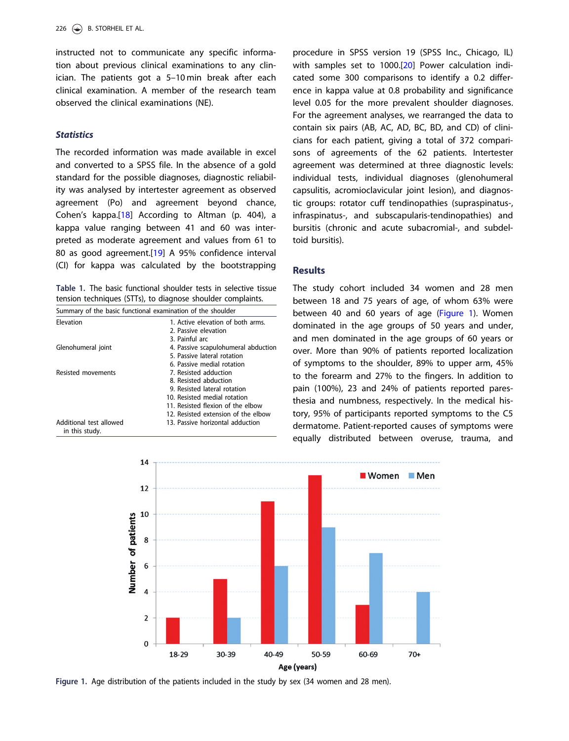<span id="page-2-0"></span>instructed not to communicate any specific information about previous clinical examinations to any clinician. The patients got a 5–10 min break after each clinical examination. A member of the research team observed the clinical examinations (NE).

### **Statistics**

The recorded information was made available in excel and converted to a SPSS file. In the absence of a gold standard for the possible diagnoses, diagnostic reliability was analysed by intertester agreement as observed agreement (Po) and agreement beyond chance, Cohen's kappa.[\[18](#page-7-0)] According to Altman (p. 404), a kappa value ranging between 41 and 60 was interpreted as moderate agreement and values from 61 to 80 as good agreement.[[19](#page-7-0)] A 95% confidence interval (CI) for kappa was calculated by the bootstrapping

Table 1. The basic functional shoulder tests in selective tissue tension techniques (STTs), to diagnose shoulder complaints.

| Summary of the basic functional examination of the shoulder |                                                                                                                                                                                            |  |  |  |
|-------------------------------------------------------------|--------------------------------------------------------------------------------------------------------------------------------------------------------------------------------------------|--|--|--|
| Elevation                                                   | 1. Active elevation of both arms.<br>2. Passive elevation<br>3. Painful arc                                                                                                                |  |  |  |
| Glenohumeral joint                                          | 4. Passive scapulohumeral abduction<br>5. Passive lateral rotation<br>6. Passive medial rotation                                                                                           |  |  |  |
| Resisted movements                                          | 7. Resisted adduction<br>8. Resisted abduction<br>9. Resisted lateral rotation<br>10. Resisted medial rotation<br>11. Resisted flexion of the elbow<br>12. Resisted extension of the elbow |  |  |  |
| Additional test allowed<br>in this study.                   | 13. Passive horizontal adduction                                                                                                                                                           |  |  |  |

procedure in SPSS version 19 (SPSS Inc., Chicago, IL) with samples set to 1000.<sup>[[20](#page-7-0)]</sup> Power calculation indicated some 300 comparisons to identify a 0.2 difference in kappa value at 0.8 probability and significance level 0.05 for the more prevalent shoulder diagnoses. For the agreement analyses, we rearranged the data to contain six pairs (AB, AC, AD, BC, BD, and CD) of clinicians for each patient, giving a total of 372 comparisons of agreements of the 62 patients. Intertester agreement was determined at three diagnostic levels: individual tests, individual diagnoses (glenohumeral capsulitis, acromioclavicular joint lesion), and diagnostic groups: rotator cuff tendinopathies (supraspinatus-, infraspinatus-, and subscapularis-tendinopathies) and bursitis (chronic and acute subacromial-, and subdeltoid bursitis).

## Results

The study cohort included 34 women and 28 men between 18 and 75 years of age, of whom 63% were between 40 and 60 years of age (Figure 1). Women dominated in the age groups of 50 years and under, and men dominated in the age groups of 60 years or over. More than 90% of patients reported localization of symptoms to the shoulder, 89% to upper arm, 45% to the forearm and 27% to the fingers. In addition to pain (100%), 23 and 24% of patients reported paresthesia and numbness, respectively. In the medical history, 95% of participants reported symptoms to the C5 dermatome. Patient-reported causes of symptoms were equally distributed between overuse, trauma, and



Figure 1. Age distribution of the patients included in the study by sex (34 women and 28 men).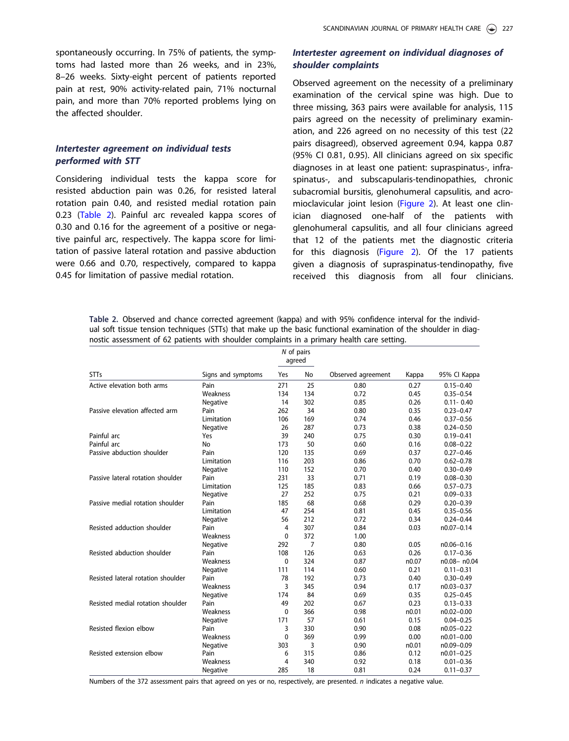spontaneously occurring. In 75% of patients, the symptoms had lasted more than 26 weeks, and in 23%, 8–26 weeks. Sixty-eight percent of patients reported pain at rest, 90% activity-related pain, 71% nocturnal pain, and more than 70% reported problems lying on the affected shoulder.

### Intertester agreement on individual tests performed with STT

Considering individual tests the kappa score for resisted abduction pain was 0.26, for resisted lateral rotation pain 0.40, and resisted medial rotation pain 0.23 (Table 2). Painful arc revealed kappa scores of 0.30 and 0.16 for the agreement of a positive or negative painful arc, respectively. The kappa score for limitation of passive lateral rotation and passive abduction were 0.66 and 0.70, respectively, compared to kappa 0.45 for limitation of passive medial rotation.

## Intertester agreement on individual diagnoses of shoulder complaints

Observed agreement on the necessity of a preliminary examination of the cervical spine was high. Due to three missing, 363 pairs were available for analysis, 115 pairs agreed on the necessity of preliminary examination, and 226 agreed on no necessity of this test (22 pairs disagreed), observed agreement 0.94, kappa 0.87 (95% CI 0.81, 0.95). All clinicians agreed on six specific diagnoses in at least one patient: supraspinatus-, infraspinatus-, and subscapularis-tendinopathies, chronic subacromial bursitis, glenohumeral capsulitis, and acromioclavicular joint lesion [\(Figure 2](#page-4-0)). At least one clinician diagnosed one-half of the patients with glenohumeral capsulitis, and all four clinicians agreed that 12 of the patients met the diagnostic criteria for this diagnosis [\(Figure 2\)](#page-4-0). Of the 17 patients given a diagnosis of supraspinatus-tendinopathy, five received this diagnosis from all four clinicians.

Table 2. Observed and chance corrected agreement (kappa) and with 95% confidence interval for the individual soft tissue tension techniques (STTs) that make up the basic functional examination of the shoulder in diagnostic assessment of 62 patients with shoulder complaints in a primary health care setting.

 $\overline{N}$ 

|                                    | Signs and symptoms | N of pairs<br>agreed |     |                    |       |                |
|------------------------------------|--------------------|----------------------|-----|--------------------|-------|----------------|
| <b>STTs</b>                        |                    | Yes                  | No  | Observed agreement | Kappa | 95% CI Kappa   |
| Active elevation both arms         | Pain               | 271                  | 25  | 0.80               | 0.27  | $0.15 - 0.40$  |
|                                    | Weakness           | 134                  | 134 | 0.72               | 0.45  | $0.35 - 0.54$  |
|                                    | Negative           | 14                   | 302 | 0.85               | 0.26  | $0.11 - 0.40$  |
| Passive elevation affected arm     | Pain               | 262                  | 34  | 0.80               | 0.35  | $0.23 - 0.47$  |
|                                    | Limitation         | 106                  | 169 | 0.74               | 0.46  | $0.37 - 0.56$  |
|                                    | Negative           | 26                   | 287 | 0.73               | 0.38  | $0.24 - 0.50$  |
| Painful arc                        | Yes                | 39                   | 240 | 0.75               | 0.30  | $0.19 - 0.41$  |
| Painful arc                        | No                 | 173                  | 50  | 0.60               | 0.16  | $0.08 - 0.22$  |
| Passive abduction shoulder         | Pain               | 120                  | 135 | 0.69               | 0.37  | $0.27 - 0.46$  |
|                                    | Limitation         | 116                  | 203 | 0.86               | 0.70  | $0.62 - 0.78$  |
|                                    | Negative           | 110                  | 152 | 0.70               | 0.40  | $0.30 - 0.49$  |
| Passive lateral rotation shoulder  | Pain               | 231                  | 33  | 0.71               | 0.19  | $0.08 - 0.30$  |
|                                    | Limitation         | 125                  | 185 | 0.83               | 0.66  | $0.57 - 0.73$  |
|                                    | Negative           | 27                   | 252 | 0.75               | 0.21  | $0.09 - 0.33$  |
| Passive medial rotation shoulder   | Pain               | 185                  | 68  | 0.68               | 0.29  | $0.20 - 0.39$  |
|                                    | Limitation         | 47                   | 254 | 0.81               | 0.45  | $0.35 - 0.56$  |
|                                    | Negative           | 56                   | 212 | 0.72               | 0.34  | $0.24 - 0.44$  |
| Resisted adduction shoulder        | Pain               | 4                    | 307 | 0.84               | 0.03  | n0.07-0.14     |
|                                    | Weakness           | $\mathbf{0}$         | 372 | 1.00               |       |                |
|                                    | Negative           | 292                  | 7   | 0.80               | 0.05  | $n0.06 - 0.16$ |
| Resisted abduction shoulder        | Pain               | 108                  | 126 | 0.63               | 0.26  | $0.17 - 0.36$  |
|                                    | Weakness           | 0                    | 324 | 0.87               | n0.07 | n0.08- n0.04   |
|                                    | Negative           | 111                  | 114 | 0.60               | 0.21  | $0.11 - 0.31$  |
| Resisted lateral rotation shoulder | Pain               | 78                   | 192 | 0.73               | 0.40  | $0.30 - 0.49$  |
|                                    | Weakness           | 3                    | 345 | 0.94               | 0.17  | n0.03-0.37     |
|                                    | Negative           | 174                  | 84  | 0.69               | 0.35  | $0.25 - 0.45$  |
| Resisted medial rotation shoulder  | Pain               | 49                   | 202 | 0.67               | 0.23  | $0.13 - 0.33$  |
|                                    | Weakness           | $\mathbf{0}$         | 366 | 0.98               | n0.01 | n0.02-0.00     |
|                                    | Negative           | 171                  | 57  | 0.61               | 0.15  | $0.04 - 0.25$  |
| Resisted flexion elbow             | Pain               | 3                    | 330 | 0.90               | 0.08  | $n0.05 - 0.22$ |
|                                    | Weakness           | $\mathbf{0}$         | 369 | 0.99               | 0.00  | $n0.01 - 0.00$ |
|                                    | Negative           | 303                  | 3   | 0.90               | n0.01 | n0.09-0.09     |
| Resisted extension elbow           | Pain               | 6                    | 315 | 0.86               | 0.12  | $n0.01 - 0.25$ |
|                                    | Weakness           | 4                    | 340 | 0.92               | 0.18  | $0.01 - 0.36$  |
|                                    | Negative           | 285                  | 18  | 0.81               | 0.24  | $0.11 - 0.37$  |

Numbers of the 372 assessment pairs that agreed on yes or no, respectively, are presented. n indicates a negative value.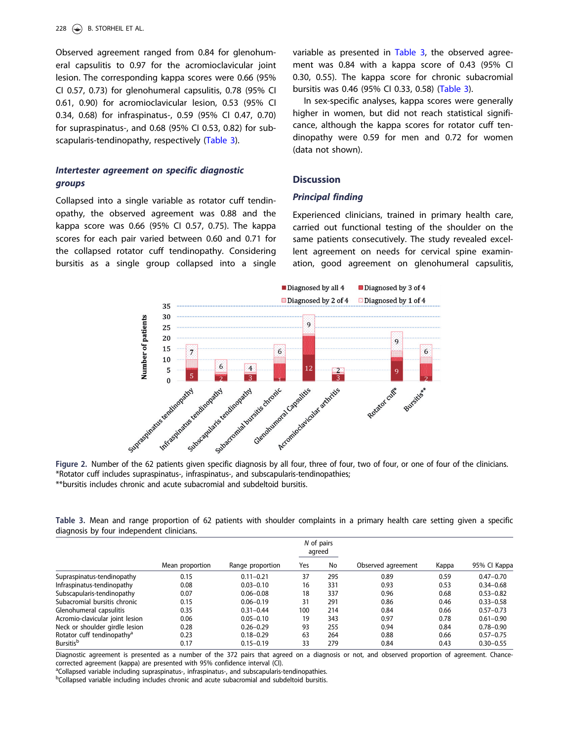<span id="page-4-0"></span>Observed agreement ranged from 0.84 for glenohumeral capsulitis to 0.97 for the acromioclavicular joint lesion. The corresponding kappa scores were 0.66 (95% CI 0.57, 0.73) for glenohumeral capsulitis, 0.78 (95% CI 0.61, 0.90) for acromioclavicular lesion, 0.53 (95% CI 0.34, 0.68) for infraspinatus-, 0.59 (95% CI 0.47, 0.70) for supraspinatus-, and 0.68 (95% CI 0.53, 0.82) for subscapularis-tendinopathy, respectively (Table 3).

## Intertester agreement on specific diagnostic groups

Collapsed into a single variable as rotator cuff tendinopathy, the observed agreement was 0.88 and the kappa score was 0.66 (95% CI 0.57, 0.75). The kappa scores for each pair varied between 0.60 and 0.71 for the collapsed rotator cuff tendinopathy. Considering bursitis as a single group collapsed into a single variable as presented in Table 3, the observed agreement was 0.84 with a kappa score of 0.43 (95% CI 0.30, 0.55). The kappa score for chronic subacromial bursitis was 0.46 (95% CI 0.33, 0.58) (Table 3).

In sex-specific analyses, kappa scores were generally higher in women, but did not reach statistical significance, although the kappa scores for rotator cuff tendinopathy were 0.59 for men and 0.72 for women (data not shown).

### **Discussion**

### Principal finding

Experienced clinicians, trained in primary health care, carried out functional testing of the shoulder on the same patients consecutively. The study revealed excellent agreement on needs for cervical spine examination, good agreement on glenohumeral capsulitis,



\*Rotator cuff includes supraspinatus-, infraspinatus-, and subscapularis-tendinopathies; \*\*bursitis includes chronic and acute subacromial and subdeltoid bursitis.

Table 3. Mean and range proportion of 62 patients with shoulder complaints in a primary health care setting given a specific diagnosis by four independent clinicians.

|                                        |                 |                  |     | N of pairs<br>agreed |                    |       |               |
|----------------------------------------|-----------------|------------------|-----|----------------------|--------------------|-------|---------------|
|                                        | Mean proportion | Range proportion | Yes | No                   | Observed agreement | Kappa | 95% CI Kappa  |
| Supraspinatus-tendinopathy             | 0.15            | $0.11 - 0.21$    | 37  | 295                  | 0.89               | 0.59  | $0.47 - 0.70$ |
| Infraspinatus-tendinopathy             | 0.08            | $0.03 - 0.10$    | 16  | 331                  | 0.93               | 0.53  | $0.34 - 0.68$ |
| Subscapularis-tendinopathy             | 0.07            | $0.06 - 0.08$    | 18  | 337                  | 0.96               | 0.68  | $0.53 - 0.82$ |
| Subacromial bursitis chronic           | 0.15            | $0.06 - 0.19$    | 31  | 291                  | 0.86               | 0.46  | $0.33 - 0.58$ |
| Glenohumeral capsulitis                | 0.35            | $0.31 - 0.44$    | 100 | 214                  | 0.84               | 0.66  | $0.57 - 0.73$ |
| Acromio-clavicular joint lesion        | 0.06            | $0.05 - 0.10$    | 19  | 343                  | 0.97               | 0.78  | $0.61 - 0.90$ |
| Neck or shoulder girdle lesion         | 0.28            | $0.26 - 0.29$    | 93  | 255                  | 0.94               | 0.84  | $0.78 - 0.90$ |
| Rotator cuff tendinopathy <sup>a</sup> | 0.23            | $0.18 - 0.29$    | 63  | 264                  | 0.88               | 0.66  | $0.57 - 0.75$ |
| <b>Bursitis</b> <sup>b</sup>           | 0.17            | $0.15 - 0.19$    | 33  | 279                  | 0.84               | 0.43  | $0.30 - 0.55$ |

Diagnostic agreement is presented as a number of the 372 pairs that agreed on a diagnosis or not, and observed proportion of agreement. Chancecorrected agreement (kappa) are presented with 95% confidence interval (CI).

<sup>a</sup>Collapsed variable including supraspinatus-, infraspinatus-, and subscapularis-tendinopathies.

<sup>b</sup>Collapsed variable including includes chronic and acute subacromial and subdeltoid bursitis.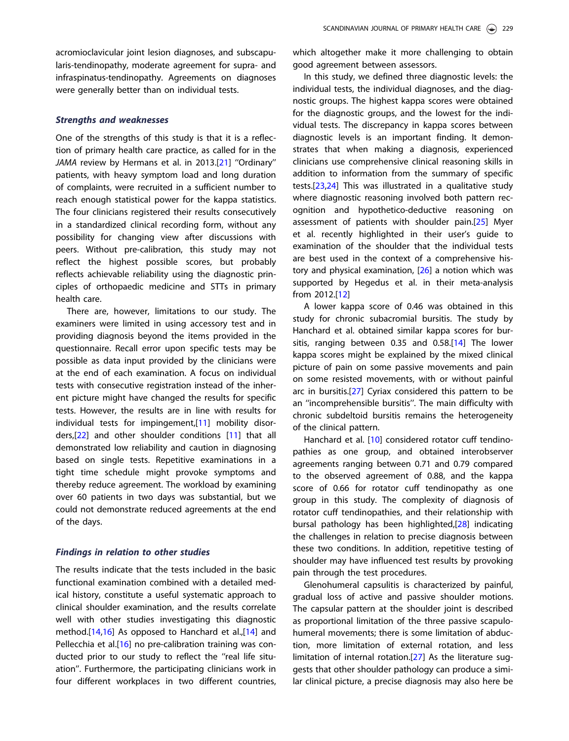<span id="page-5-0"></span>acromioclavicular joint lesion diagnoses, and subscapularis-tendinopathy, moderate agreement for supra- and infraspinatus-tendinopathy. Agreements on diagnoses were generally better than on individual tests.

### Strengths and weaknesses

One of the strengths of this study is that it is a reflection of primary health care practice, as called for in the JAMA review by Hermans et al. in 2013.[[21\]](#page-7-0) "Ordinary" patients, with heavy symptom load and long duration of complaints, were recruited in a sufficient number to reach enough statistical power for the kappa statistics. The four clinicians registered their results consecutively in a standardized clinical recording form, without any possibility for changing view after discussions with peers. Without pre-calibration, this study may not reflect the highest possible scores, but probably reflects achievable reliability using the diagnostic principles of orthopaedic medicine and STTs in primary health care.

There are, however, limitations to our study. The examiners were limited in using accessory test and in providing diagnosis beyond the items provided in the questionnaire. Recall error upon specific tests may be possible as data input provided by the clinicians were at the end of each examination. A focus on individual tests with consecutive registration instead of the inherent picture might have changed the results for specific tests. However, the results are in line with results for individual tests for impingement,[\[11](#page-7-0)] mobility disorders,[\[22\]](#page-7-0) and other shoulder conditions [\[11](#page-7-0)] that all demonstrated low reliability and caution in diagnosing based on single tests. Repetitive examinations in a tight time schedule might provoke symptoms and thereby reduce agreement. The workload by examining over 60 patients in two days was substantial, but we could not demonstrate reduced agreements at the end of the days.

### Findings in relation to other studies

The results indicate that the tests included in the basic functional examination combined with a detailed medical history, constitute a useful systematic approach to clinical shoulder examination, and the results correlate well with other studies investigating this diagnostic method.[[14,16\]](#page-7-0) As opposed to Hanchard et al.,[[14](#page-7-0)] and Pellecchia et al.<sup>[[16](#page-7-0)]</sup> no pre-calibration training was conducted prior to our study to reflect the ''real life situation''. Furthermore, the participating clinicians work in four different workplaces in two different countries, which altogether make it more challenging to obtain good agreement between assessors.

In this study, we defined three diagnostic levels: the individual tests, the individual diagnoses, and the diagnostic groups. The highest kappa scores were obtained for the diagnostic groups, and the lowest for the individual tests. The discrepancy in kappa scores between diagnostic levels is an important finding. It demonstrates that when making a diagnosis, experienced clinicians use comprehensive clinical reasoning skills in addition to information from the summary of specific tests.[[23,24](#page-7-0)] This was illustrated in a qualitative study where diagnostic reasoning involved both pattern recognition and hypothetico-deductive reasoning on assessment of patients with shoulder pain.<sup>[[25](#page-7-0)]</sup> Myer et al. recently highlighted in their user's guide to examination of the shoulder that the individual tests are best used in the context of a comprehensive history and physical examination, [[26](#page-7-0)] a notion which was supported by Hegedus et al. in their meta-analysis from 2012.[\[12](#page-7-0)]

A lower kappa score of 0.46 was obtained in this study for chronic subacromial bursitis. The study by Hanchard et al. obtained similar kappa scores for bursitis, ranging between 0.35 and 0.58.[[14](#page-7-0)] The lower kappa scores might be explained by the mixed clinical picture of pain on some passive movements and pain on some resisted movements, with or without painful arc in bursitis.[[27\]](#page-7-0) Cyriax considered this pattern to be an ''incomprehensible bursitis''. The main difficulty with chronic subdeltoid bursitis remains the heterogeneity of the clinical pattern.

Hanchard et al. [[10\]](#page-7-0) considered rotator cuff tendinopathies as one group, and obtained interobserver agreements ranging between 0.71 and 0.79 compared to the observed agreement of 0.88, and the kappa score of 0.66 for rotator cuff tendinopathy as one group in this study. The complexity of diagnosis of rotator cuff tendinopathies, and their relationship with bursal pathology has been highlighted,[\[28](#page-7-0)] indicating the challenges in relation to precise diagnosis between these two conditions. In addition, repetitive testing of shoulder may have influenced test results by provoking pain through the test procedures.

Glenohumeral capsulitis is characterized by painful, gradual loss of active and passive shoulder motions. The capsular pattern at the shoulder joint is described as proportional limitation of the three passive scapulohumeral movements; there is some limitation of abduction, more limitation of external rotation, and less limitation of internal rotation.[\[27\]](#page-7-0) As the literature suggests that other shoulder pathology can produce a similar clinical picture, a precise diagnosis may also here be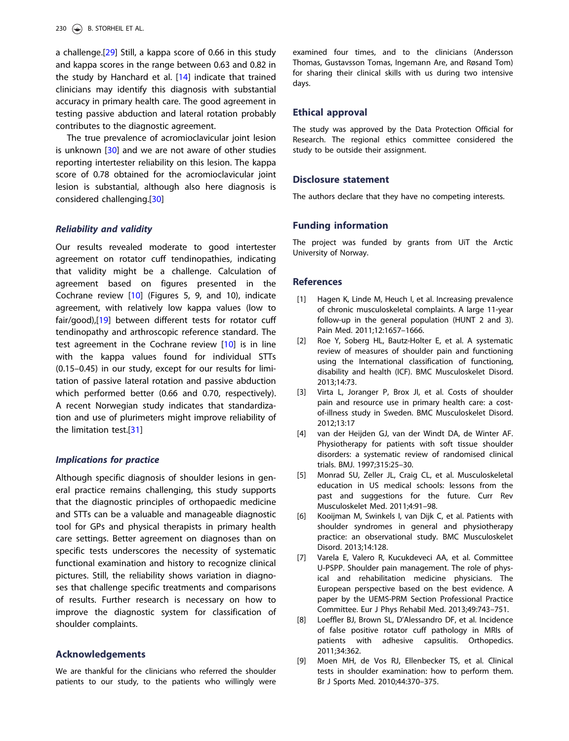<span id="page-6-0"></span>a challenge.[[29](#page-7-0)] Still, a kappa score of 0.66 in this study and kappa scores in the range between 0.63 and 0.82 in the study by Hanchard et al. [\[14](#page-7-0)] indicate that trained clinicians may identify this diagnosis with substantial accuracy in primary health care. The good agreement in testing passive abduction and lateral rotation probably contributes to the diagnostic agreement.

The true prevalence of acromioclavicular joint lesion is unknown [[30](#page-7-0)] and we are not aware of other studies reporting intertester reliability on this lesion. The kappa score of 0.78 obtained for the acromioclavicular joint lesion is substantial, although also here diagnosis is considered challenging.[[30\]](#page-7-0)

### Reliability and validity

Our results revealed moderate to good intertester agreement on rotator cuff tendinopathies, indicating that validity might be a challenge. Calculation of agreement based on figures presented in the Cochrane review [\[10](#page-7-0)] (Figures 5, 9, and 10), indicate agreement, with relatively low kappa values (low to fair/good),[[19](#page-7-0)] between different tests for rotator cuff tendinopathy and arthroscopic reference standard. The test agreement in the Cochrane review [[10](#page-7-0)] is in line with the kappa values found for individual STTs (0.15–0.45) in our study, except for our results for limitation of passive lateral rotation and passive abduction which performed better (0.66 and 0.70, respectively). A recent Norwegian study indicates that standardization and use of plurimeters might improve reliability of the limitation test.[[31](#page-7-0)]

### Implications for practice

Although specific diagnosis of shoulder lesions in general practice remains challenging, this study supports that the diagnostic principles of orthopaedic medicine and STTs can be a valuable and manageable diagnostic tool for GPs and physical therapists in primary health care settings. Better agreement on diagnoses than on specific tests underscores the necessity of systematic functional examination and history to recognize clinical pictures. Still, the reliability shows variation in diagnoses that challenge specific treatments and comparisons of results. Further research is necessary on how to improve the diagnostic system for classification of shoulder complaints.

### Acknowledgements

We are thankful for the clinicians who referred the shoulder patients to our study, to the patients who willingly were examined four times, and to the clinicians (Andersson Thomas, Gustavsson Tomas, Ingemann Are, and Røsand Tom) for sharing their clinical skills with us during two intensive days.

#### Ethical approval

The study was approved by the Data Protection Official for Research. The regional ethics committee considered the study to be outside their assignment.

#### Disclosure statement

The authors declare that they have no competing interests.

### Funding information

The project was funded by grants from UiT the Arctic University of Norway.

#### References

- [\[1\]](#page-0-0) Hagen K, Linde M, Heuch I, et al. Increasing prevalence of chronic musculoskeletal complaints. A large 11-year follow-up in the general population (HUNT 2 and 3). Pain Med. 2011;12:1657–1666.
- [\[2\]](#page-0-0) Roe Y, Soberg HL, Bautz-Holter E, et al. A systematic review of measures of shoulder pain and functioning using the International classification of functioning, disability and health (ICF). BMC Musculoskelet Disord. 2013;14:73.
- [\[3\]](#page-0-0) Virta L, Joranger P, Brox JI, et al. Costs of shoulder pain and resource use in primary health care: a costof-illness study in Sweden. BMC Musculoskelet Disord. 2012;13:17
- [\[4\]](#page-0-0) van der Heijden GJ, van der Windt DA, de Winter AF. Physiotherapy for patients with soft tissue shoulder disorders: a systematic review of randomised clinical trials. BMJ. 1997;315:25–30.
- [\[5\]](#page-0-0) Monrad SU, Zeller JL, Craig CL, et al. Musculoskeletal education in US medical schools: lessons from the past and suggestions for the future. Curr Rev Musculoskelet Med. 2011;4:91–98.
- [\[6\]](#page-0-0) Kooijman M, Swinkels I, van Dijk C, et al. Patients with shoulder syndromes in general and physiotherapy practice: an observational study. BMC Musculoskelet Disord. 2013;14:128.
- [\[7\]](#page-0-0) Varela E, Valero R, Kucukdeveci AA, et al. Committee U-PSPP. Shoulder pain management. The role of physical and rehabilitation medicine physicians. The European perspective based on the best evidence. A paper by the UEMS-PRM Section Professional Practice Committee. Eur J Phys Rehabil Med. 2013;49:743–751.
- [\[8\]](#page-0-0) Loeffler BJ, Brown SL, D'Alessandro DF, et al. Incidence of false positive rotator cuff pathology in MRIs of patients with adhesive capsulitis. Orthopedics. 2011;34:362.
- [\[9\]](#page-1-0) Moen MH, de Vos RJ, Ellenbecker TS, et al. Clinical tests in shoulder examination: how to perform them. Br J Sports Med. 2010;44:370–375.